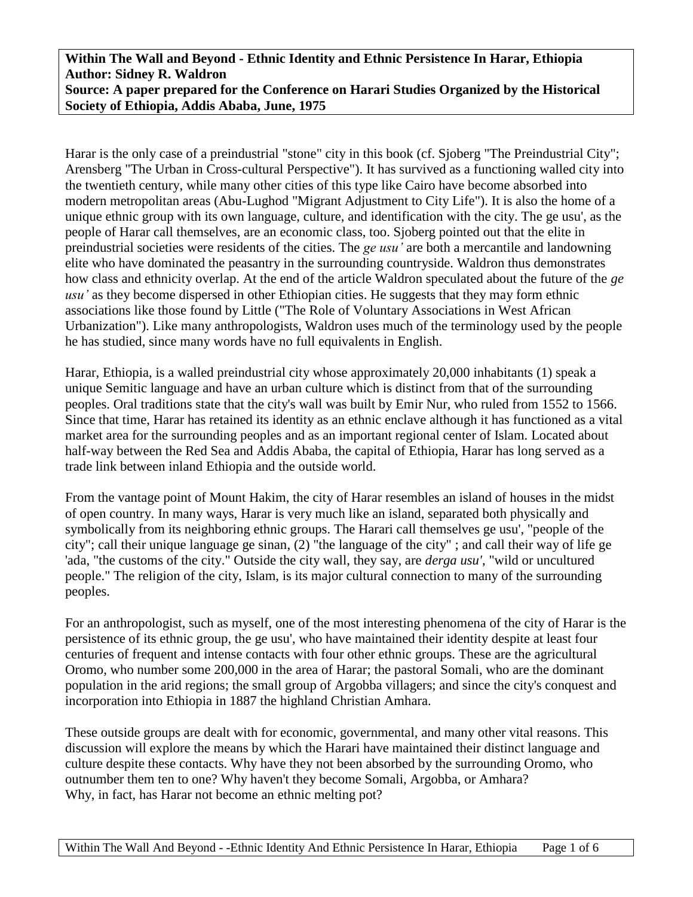#### **Within The Wall and Beyond - Ethnic Identity and Ethnic Persistence In Harar, Ethiopia Author: Sidney R. Waldron Source: A paper prepared for the Conference on Harari Studies Organized by the Historical Society of Ethiopia, Addis Ababa, June, 1975**

Harar is the only case of a preindustrial "stone" city in this book (cf. Sjoberg "The Preindustrial City"; Arensberg "The Urban in Cross-cultural Perspective"). It has survived as a functioning walled city into the twentieth century, while many other cities of this type like Cairo have become absorbed into modern metropolitan areas (Abu-Lughod "Migrant Adjustment to City Life"). It is also the home of a unique ethnic group with its own language, culture, and identification with the city. The ge usu', as the people of Harar call themselves, are an economic class, too. Sjoberg pointed out that the elite in preindustrial societies were residents of the cities. The *ge usu'* are both a mercantile and landowning elite who have dominated the peasantry in the surrounding countryside. Waldron thus demonstrates how class and ethnicity overlap. At the end of the article Waldron speculated about the future of the *ge usu'* as they become dispersed in other Ethiopian cities. He suggests that they may form ethnic associations like those found by Little ("The Role of Voluntary Associations in West African Urbanization"). Like many anthropologists, Waldron uses much of the terminology used by the people he has studied, since many words have no full equivalents in English.

Harar, Ethiopia, is a walled preindustrial city whose approximately 20,000 inhabitants (1) speak a unique Semitic language and have an urban culture which is distinct from that of the surrounding peoples. Oral traditions state that the city's wall was built by Emir Nur, who ruled from 1552 to 1566. Since that time, Harar has retained its identity as an ethnic enclave although it has functioned as a vital market area for the surrounding peoples and as an important regional center of Islam. Located about half-way between the Red Sea and Addis Ababa, the capital of Ethiopia, Harar has long served as a trade link between inland Ethiopia and the outside world.

From the vantage point of Mount Hakim, the city of Harar resembles an island of houses in the midst of open country. In many ways, Harar is very much like an island, separated both physically and symbolically from its neighboring ethnic groups. The Harari call themselves ge usu', "people of the city"; call their unique language ge sinan, (2) "the language of the city" ; and call their way of life ge 'ada, "the customs of the city." Outside the city wall, they say, are *derga usu'*, "wild or uncultured people." The religion of the city, Islam, is its major cultural connection to many of the surrounding peoples.

For an anthropologist, such as myself, one of the most interesting phenomena of the city of Harar is the persistence of its ethnic group, the ge usu', who have maintained their identity despite at least four centuries of frequent and intense contacts with four other ethnic groups. These are the agricultural Oromo, who number some 200,000 in the area of Harar; the pastoral Somali, who are the dominant population in the arid regions; the small group of Argobba villagers; and since the city's conquest and incorporation into Ethiopia in 1887 the highland Christian Amhara.

These outside groups are dealt with for economic, governmental, and many other vital reasons. This discussion will explore the means by which the Harari have maintained their distinct language and culture despite these contacts. Why have they not been absorbed by the surrounding Oromo, who outnumber them ten to one? Why haven't they become Somali, Argobba, or Amhara? Why, in fact, has Harar not become an ethnic melting pot?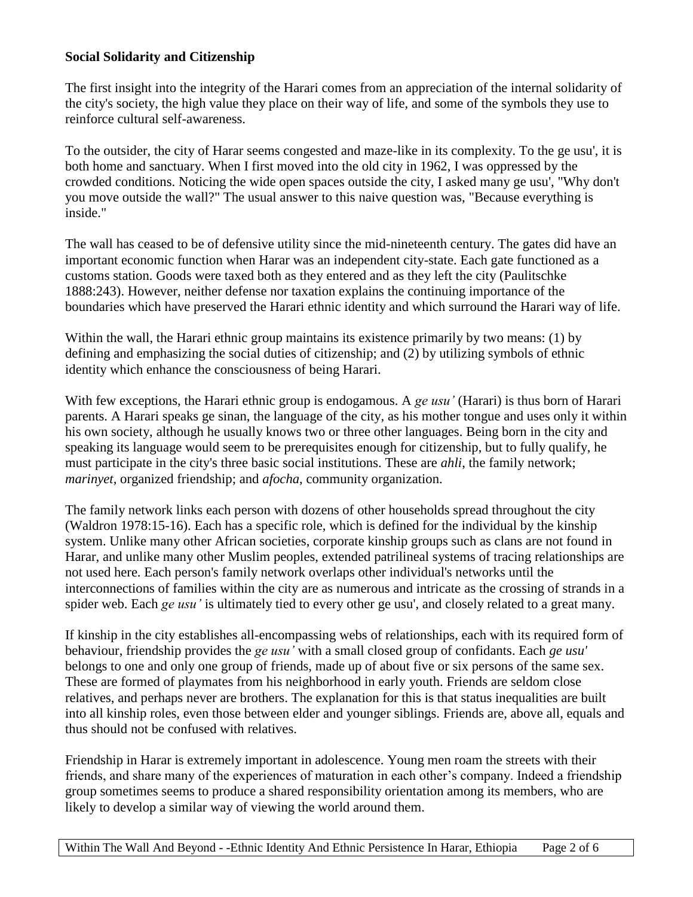#### **Social Solidarity and Citizenship**

The first insight into the integrity of the Harari comes from an appreciation of the internal solidarity of the city's society, the high value they place on their way of life, and some of the symbols they use to reinforce cultural self-awareness.

To the outsider, the city of Harar seems congested and maze-like in its complexity. To the ge usu', it is both home and sanctuary. When I first moved into the old city in 1962, I was oppressed by the crowded conditions. Noticing the wide open spaces outside the city, I asked many ge usu', "Why don't you move outside the wall?" The usual answer to this naive question was, "Because everything is inside."

The wall has ceased to be of defensive utility since the mid-nineteenth century. The gates did have an important economic function when Harar was an independent city-state. Each gate functioned as a customs station. Goods were taxed both as they entered and as they left the city (Paulitschke 1888:243). However, neither defense nor taxation explains the continuing importance of the boundaries which have preserved the Harari ethnic identity and which surround the Harari way of life.

Within the wall, the Harari ethnic group maintains its existence primarily by two means: (1) by defining and emphasizing the social duties of citizenship; and (2) by utilizing symbols of ethnic identity which enhance the consciousness of being Harari.

With few exceptions, the Harari ethnic group is endogamous. A *ge usu'* (Harari) is thus born of Harari parents. A Harari speaks ge sinan, the language of the city, as his mother tongue and uses only it within his own society, although he usually knows two or three other languages. Being born in the city and speaking its language would seem to be prerequisites enough for citizenship, but to fully qualify, he must participate in the city's three basic social institutions. These are *ahli*, the family network; *marinyet*, organized friendship; and *afocha*, community organization.

The family network links each person with dozens of other households spread throughout the city (Waldron 1978:15-16). Each has a specific role, which is defined for the individual by the kinship system. Unlike many other African societies, corporate kinship groups such as clans are not found in Harar, and unlike many other Muslim peoples, extended patrilineal systems of tracing relationships are not used here. Each person's family network overlaps other individual's networks until the interconnections of families within the city are as numerous and intricate as the crossing of strands in a spider web. Each *ge usu'* is ultimately tied to every other ge usu', and closely related to a great many.

If kinship in the city establishes all-encompassing webs of relationships, each with its required form of behaviour, friendship provides the *ge usu'* with a small closed group of confidants. Each *ge usu'* belongs to one and only one group of friends, made up of about five or six persons of the same sex. These are formed of playmates from his neighborhood in early youth. Friends are seldom close relatives, and perhaps never are brothers. The explanation for this is that status inequalities are built into all kinship roles, even those between elder and younger siblings. Friends are, above all, equals and thus should not be confused with relatives.

Friendship in Harar is extremely important in adolescence. Young men roam the streets with their friends, and share many of the experiences of maturation in each other's company. Indeed a friendship group sometimes seems to produce a shared responsibility orientation among its members, who are likely to develop a similar way of viewing the world around them.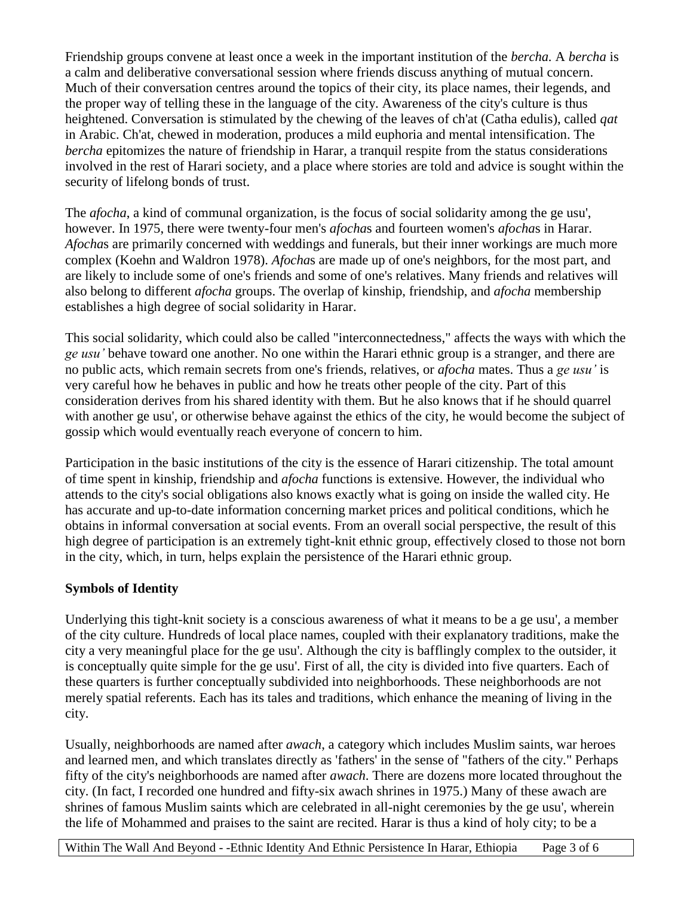Friendship groups convene at least once a week in the important institution of the *bercha.* A *bercha* is a calm and deliberative conversational session where friends discuss anything of mutual concern. Much of their conversation centres around the topics of their city, its place names, their legends, and the proper way of telling these in the language of the city. Awareness of the city's culture is thus heightened. Conversation is stimulated by the chewing of the leaves of ch'at (Catha edulis), called *qat* in Arabic. Ch'at, chewed in moderation, produces a mild euphoria and mental intensification. The *bercha* epitomizes the nature of friendship in Harar, a tranquil respite from the status considerations involved in the rest of Harari society, and a place where stories are told and advice is sought within the security of lifelong bonds of trust.

The *afocha*, a kind of communal organization, is the focus of social solidarity among the ge usu', however. In 1975, there were twenty-four men's *afocha*s and fourteen women's *afocha*s in Harar. *Afocha*s are primarily concerned with weddings and funerals, but their inner workings are much more complex (Koehn and Waldron 1978). *Afocha*s are made up of one's neighbors, for the most part, and are likely to include some of one's friends and some of one's relatives. Many friends and relatives will also belong to different *afocha* groups. The overlap of kinship, friendship, and *afocha* membership establishes a high degree of social solidarity in Harar.

This social solidarity, which could also be called "interconnectedness," affects the ways with which the *ge usu'* behave toward one another. No one within the Harari ethnic group is a stranger, and there are no public acts, which remain secrets from one's friends, relatives, or *afocha* mates. Thus a *ge usu'* is very careful how he behaves in public and how he treats other people of the city. Part of this consideration derives from his shared identity with them. But he also knows that if he should quarrel with another ge usu', or otherwise behave against the ethics of the city, he would become the subject of gossip which would eventually reach everyone of concern to him.

Participation in the basic institutions of the city is the essence of Harari citizenship. The total amount of time spent in kinship, friendship and *afocha* functions is extensive. However, the individual who attends to the city's social obligations also knows exactly what is going on inside the walled city. He has accurate and up-to-date information concerning market prices and political conditions, which he obtains in informal conversation at social events. From an overall social perspective, the result of this high degree of participation is an extremely tight-knit ethnic group, effectively closed to those not born in the city, which, in turn, helps explain the persistence of the Harari ethnic group.

# **Symbols of Identity**

Underlying this tight-knit society is a conscious awareness of what it means to be a ge usu', a member of the city culture. Hundreds of local place names, coupled with their explanatory traditions, make the city a very meaningful place for the ge usu'. Although the city is bafflingly complex to the outsider, it is conceptually quite simple for the ge usu'. First of all, the city is divided into five quarters. Each of these quarters is further conceptually subdivided into neighborhoods. These neighborhoods are not merely spatial referents. Each has its tales and traditions, which enhance the meaning of living in the city.

Usually, neighborhoods are named after *awach*, a category which includes Muslim saints, war heroes and learned men, and which translates directly as 'fathers' in the sense of "fathers of the city." Perhaps fifty of the city's neighborhoods are named after *awach*. There are dozens more located throughout the city. (In fact, I recorded one hundred and fifty-six awach shrines in 1975.) Many of these awach are shrines of famous Muslim saints which are celebrated in all-night ceremonies by the ge usu', wherein the life of Mohammed and praises to the saint are recited. Harar is thus a kind of holy city; to be a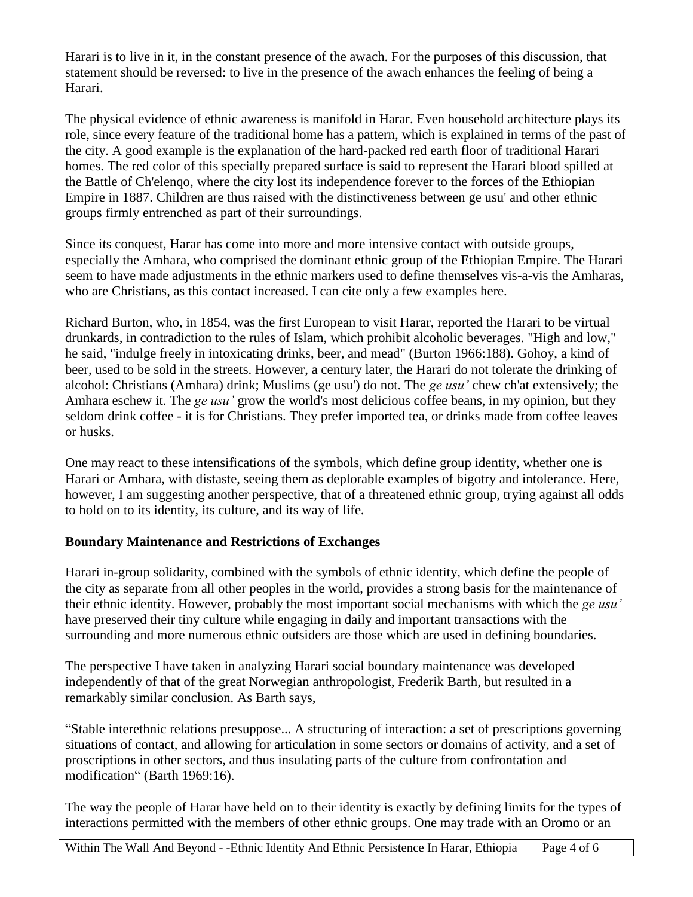Harari is to live in it, in the constant presence of the awach. For the purposes of this discussion, that statement should be reversed: to live in the presence of the awach enhances the feeling of being a Harari.

The physical evidence of ethnic awareness is manifold in Harar. Even household architecture plays its role, since every feature of the traditional home has a pattern, which is explained in terms of the past of the city. A good example is the explanation of the hard-packed red earth floor of traditional Harari homes. The red color of this specially prepared surface is said to represent the Harari blood spilled at the Battle of Ch'elenqo, where the city lost its independence forever to the forces of the Ethiopian Empire in 1887. Children are thus raised with the distinctiveness between ge usu' and other ethnic groups firmly entrenched as part of their surroundings.

Since its conquest, Harar has come into more and more intensive contact with outside groups, especially the Amhara, who comprised the dominant ethnic group of the Ethiopian Empire. The Harari seem to have made adjustments in the ethnic markers used to define themselves vis-a-vis the Amharas, who are Christians, as this contact increased. I can cite only a few examples here.

Richard Burton, who, in 1854, was the first European to visit Harar, reported the Harari to be virtual drunkards, in contradiction to the rules of Islam, which prohibit alcoholic beverages. "High and low," he said, "indulge freely in intoxicating drinks, beer, and mead" (Burton 1966:188). Gohoy, a kind of beer, used to be sold in the streets. However, a century later, the Harari do not tolerate the drinking of alcohol: Christians (Amhara) drink; Muslims (ge usu') do not. The *ge usu'* chew ch'at extensively; the Amhara eschew it. The *ge usu'* grow the world's most delicious coffee beans, in my opinion, but they seldom drink coffee - it is for Christians. They prefer imported tea, or drinks made from coffee leaves or husks.

One may react to these intensifications of the symbols, which define group identity, whether one is Harari or Amhara, with distaste, seeing them as deplorable examples of bigotry and intolerance. Here, however, I am suggesting another perspective, that of a threatened ethnic group, trying against all odds to hold on to its identity, its culture, and its way of life.

# **Boundary Maintenance and Restrictions of Exchanges**

Harari in-group solidarity, combined with the symbols of ethnic identity, which define the people of the city as separate from all other peoples in the world, provides a strong basis for the maintenance of their ethnic identity. However, probably the most important social mechanisms with which the *ge usu'*  have preserved their tiny culture while engaging in daily and important transactions with the surrounding and more numerous ethnic outsiders are those which are used in defining boundaries.

The perspective I have taken in analyzing Harari social boundary maintenance was developed independently of that of the great Norwegian anthropologist, Frederik Barth, but resulted in a remarkably similar conclusion. As Barth says,

"Stable interethnic relations presuppose... A structuring of interaction: a set of prescriptions governing situations of contact, and allowing for articulation in some sectors or domains of activity, and a set of proscriptions in other sectors, and thus insulating parts of the culture from confrontation and modification" (Barth 1969:16).

The way the people of Harar have held on to their identity is exactly by defining limits for the types of interactions permitted with the members of other ethnic groups. One may trade with an Oromo or an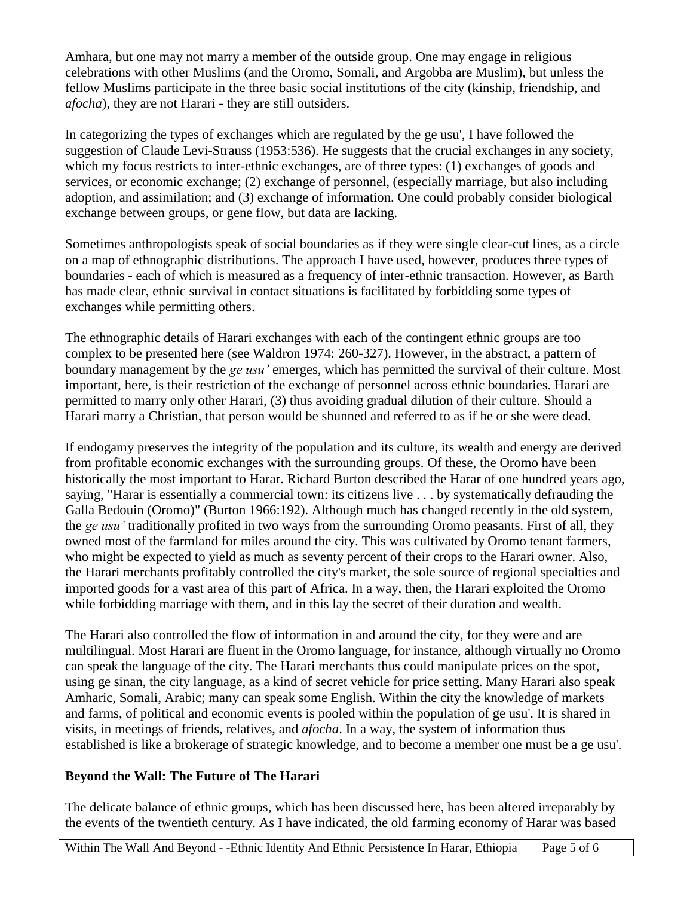Amhara, but one may not marry a member of the outside group. One may engage in religious celebrations with other Muslims (and the Oromo, Somali, and Argobba are Muslim), but unless the fellow Muslims participate in the three basic social institutions of the city (kinship, friendship, and *afocha*), they are not Harari - they are still outsiders.

In categorizing the types of exchanges which are regulated by the ge usu', I have followed the suggestion of Claude Levi-Strauss (1953:536). He suggests that the crucial exchanges in any society, which my focus restricts to inter-ethnic exchanges, are of three types: (1) exchanges of goods and services, or economic exchange; (2) exchange of personnel, (especially marriage, but also including adoption, and assimilation; and (3) exchange of information. One could probably consider biological exchange between groups, or gene flow, but data are lacking.

Sometimes anthropologists speak of social boundaries as if they were single clear-cut lines, as a circle on a map of ethnographic distributions. The approach I have used, however, produces three types of boundaries - each of which is measured as a frequency of inter-ethnic transaction. However, as Barth has made clear, ethnic survival in contact situations is facilitated by forbidding some types of exchanges while permitting others.

The ethnographic details of Harari exchanges with each of the contingent ethnic groups are too complex to be presented here (see Waldron 1974: 260-327). However, in the abstract, a pattern of boundary management by the *ge usu'* emerges, which has permitted the survival of their culture. Most important, here, is their restriction of the exchange of personnel across ethnic boundaries. Harari are permitted to marry only other Harari, (3) thus avoiding gradual dilution of their culture. Should a Harari marry a Christian, that person would be shunned and referred to as if he or she were dead.

If endogamy preserves the integrity of the population and its culture, its wealth and energy are derived from profitable economic exchanges with the surrounding groups. Of these, the Oromo have been historically the most important to Harar. Richard Burton described the Harar of one hundred years ago, saying, "Harar is essentially a commercial town: its citizens live . . . by systematically defrauding the Galla Bedouin (Oromo)" (Burton 1966:192). Although much has changed recently in the old system, the *ge usu'* traditionally profited in two ways from the surrounding Oromo peasants. First of all, they owned most of the farmland for miles around the city. This was cultivated by Oromo tenant farmers, who might be expected to yield as much as seventy percent of their crops to the Harari owner. Also, the Harari merchants profitably controlled the city's market, the sole source of regional specialties and imported goods for a vast area of this part of Africa. In a way, then, the Harari exploited the Oromo while forbidding marriage with them, and in this lay the secret of their duration and wealth.

The Harari also controlled the flow of information in and around the city, for they were and are multilingual. Most Harari are fluent in the Oromo language, for instance, although virtually no Oromo can speak the language of the city. The Harari merchants thus could manipulate prices on the spot, using ge sinan, the city language, as a kind of secret vehicle for price setting. Many Harari also speak Amharic, Somali, Arabic; many can speak some English. Within the city the knowledge of markets and farms, of political and economic events is pooled within the population of ge usu'. It is shared in visits, in meetings of friends, relatives, and *afocha*. In a way, the system of information thus established is like a brokerage of strategic knowledge, and to become a member one must be a ge usu'.

# **Beyond the Wall: The Future of The Harari**

The delicate balance of ethnic groups, which has been discussed here, has been altered irreparably by the events of the twentieth century. As I have indicated, the old farming economy of Harar was based